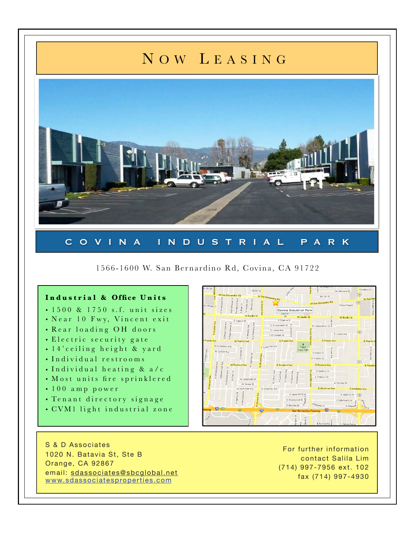## N OW L EASING



## COVINA INDUSTRIAL PARK

1566-1600 W. San Ber nardino Rd, Covina, CA 91722

## **Industrial & Office Units**

- 1500 & 1750 s.f. unit sizes
- Near 10 Fwy, Vincent exit
- Rear loading OH doors
- Electric security gate
- 14'ceiling height & yard
- Individual restrooms
- Individual heating & a/c
- Most units fire sprinklered
- 100 amp power
- Tenant directory signage
- CVM1 light industrial zone

S & D Associates 1020 N. Batavia St, Ste B Orange, CA 92867 email: [sdassociates@sbcglobal.net](mailto:sdassociates@sbcglobal.net) [www.sdassociatesproperties.com](http://www.sdassociatesproperties.com)

For further information contact Salila Lim (714) 997-7956 ext. 102 fax (714) 997-4930